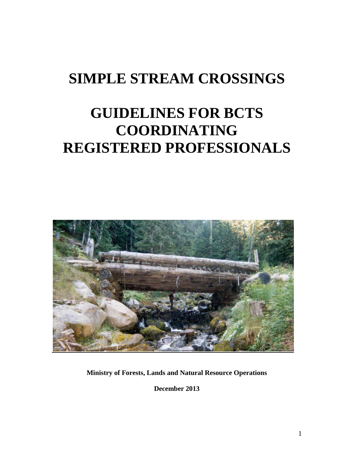# **SIMPLE STREAM CROSSINGS**

# **GUIDELINES FOR BCTS COORDINATING REGISTERED PROFESSIONALS**



**Ministry of Forests, Lands and Natural Resource Operations**

**December 2013**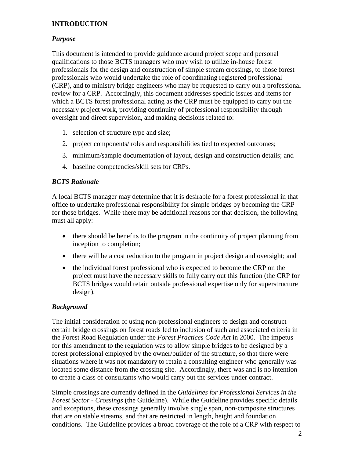## **INTRODUCTION**

## *Purpose*

This document is intended to provide guidance around project scope and personal qualifications to those BCTS managers who may wish to utilize in-house forest professionals for the design and construction of simple stream crossings, to those forest professionals who would undertake the role of coordinating registered professional (CRP), and to ministry bridge engineers who may be requested to carry out a professional review for a CRP. Accordingly, this document addresses specific issues and items for which a BCTS forest professional acting as the CRP must be equipped to carry out the necessary project work, providing continuity of professional responsibility through oversight and direct supervision, and making decisions related to:

- 1. selection of structure type and size;
- 2. project components/ roles and responsibilities tied to expected outcomes;
- 3. minimum/sample documentation of layout, design and construction details; and
- 4. baseline competencies/skill sets for CRPs.

#### *BCTS Rationale*

A local BCTS manager may determine that it is desirable for a forest professional in that office to undertake professional responsibility for simple bridges by becoming the CRP for those bridges. While there may be additional reasons for that decision, the following must all apply:

- there should be benefits to the program in the continuity of project planning from inception to completion;
- there will be a cost reduction to the program in project design and oversight; and
- the individual forest professional who is expected to become the CRP on the project must have the necessary skills to fully carry out this function (the CRP for BCTS bridges would retain outside professional expertise only for superstructure design).

#### *Background*

The initial consideration of using non-professional engineers to design and construct certain bridge crossings on forest roads led to inclusion of such and associated criteria in the Forest Road Regulation under the *Forest Practices Code Act* in 2000. The impetus for this amendment to the regulation was to allow simple bridges to be designed by a forest professional employed by the owner/builder of the structure, so that there were situations where it was not mandatory to retain a consulting engineer who generally was located some distance from the crossing site. Accordingly, there was and is no intention to create a class of consultants who would carry out the services under contract.

Simple crossings are currently defined in the *Guidelines for Professional Services in the Forest Sector - Crossings* (the Guideline). While the Guideline provides specific details and exceptions, these crossings generally involve single span, non-composite structures that are on stable streams, and that are restricted in length, height and foundation conditions. The Guideline provides a broad coverage of the role of a CRP with respect to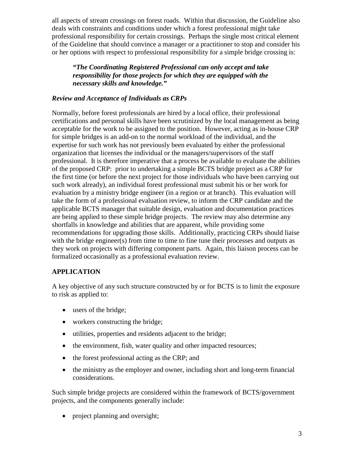all aspects of stream crossings on forest roads. Within that discussion, the Guideline also deals with constraints and conditions under which a forest professional might take professional responsibility for certain crossings. Perhaps the single most critical element of the Guideline that should convince a manager or a practitioner to stop and consider his or her options with respect to professional responsibility for a simple bridge crossing is:

*"The Coordinating Registered Professional can only accept and take responsibility for those projects for which they are equipped with the necessary skills and knowledge."*

#### *Review and Acceptance of Individuals as CRPs*

Normally, before forest professionals are hired by a local office, their professional certifications and personal skills have been scrutinized by the local management as being acceptable for the work to be assigned to the position. However, acting as in-house CRP for simple bridges is an add-on to the normal workload of the individual, and the expertise for such work has not previously been evaluated by either the professional organization that licenses the individual or the managers/supervisors of the staff professional. It is therefore imperative that a process be available to evaluate the abilities of the proposed CRP: prior to undertaking a simple BCTS bridge project as a CRP for the first time (or before the next project for those individuals who have been carrying out such work already), an individual forest professional must submit his or her work for evaluation by a ministry bridge engineer (in a region or at branch). This evaluation will take the form of a professional evaluation review, to inform the CRP candidate and the applicable BCTS manager that suitable design, evaluation and documentation practices are being applied to these simple bridge projects. The review may also determine any shortfalls in knowledge and abilities that are apparent, while providing some recommendations for upgrading those skills. Additionally, practicing CRPs should liaise with the bridge engineer(s) from time to time to fine tune their processes and outputs as they work on projects with differing component parts. Again, this liaison process can be formalized occasionally as a professional evaluation review.

## **APPLICATION**

A key objective of any such structure constructed by or for BCTS is to limit the exposure to risk as applied to:

- users of the bridge;
- workers constructing the bridge;
- utilities, properties and residents adjacent to the bridge;
- the environment, fish, water quality and other impacted resources;
- the forest professional acting as the CRP; and
- the ministry as the employer and owner, including short and long-term financial considerations.

Such simple bridge projects are considered within the framework of BCTS/government projects, and the components generally include:

• project planning and oversight;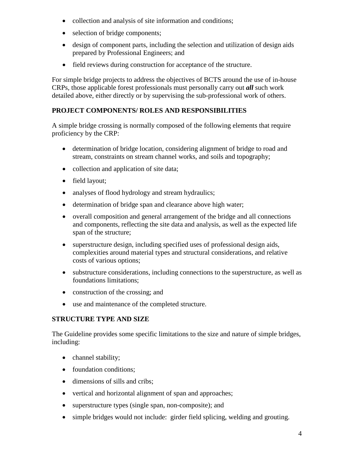- collection and analysis of site information and conditions;
- selection of bridge components;
- design of component parts, including the selection and utilization of design aids prepared by Professional Engineers; and
- field reviews during construction for acceptance of the structure.

For simple bridge projects to address the objectives of BCTS around the use of in-house CRPs, those applicable forest professionals must personally carry out *all* such work detailed above, either directly or by supervising the sub-professional work of others.

## **PROJECT COMPONENTS/ ROLES AND RESPONSIBILITIES**

A simple bridge crossing is normally composed of the following elements that require proficiency by the CRP:

- determination of bridge location, considering alignment of bridge to road and stream, constraints on stream channel works, and soils and topography;
- collection and application of site data;
- field layout;
- analyses of flood hydrology and stream hydraulics;
- determination of bridge span and clearance above high water;
- overall composition and general arrangement of the bridge and all connections and components, reflecting the site data and analysis, as well as the expected life span of the structure;
- superstructure design, including specified uses of professional design aids, complexities around material types and structural considerations, and relative costs of various options;
- substructure considerations, including connections to the superstructure, as well as foundations limitations;
- construction of the crossing; and
- use and maintenance of the completed structure.

## **STRUCTURE TYPE AND SIZE**

The Guideline provides some specific limitations to the size and nature of simple bridges, including:

- channel stability;
- foundation conditions;
- dimensions of sills and cribs;
- vertical and horizontal alignment of span and approaches;
- superstructure types (single span, non-composite); and
- simple bridges would not include: girder field splicing, welding and grouting.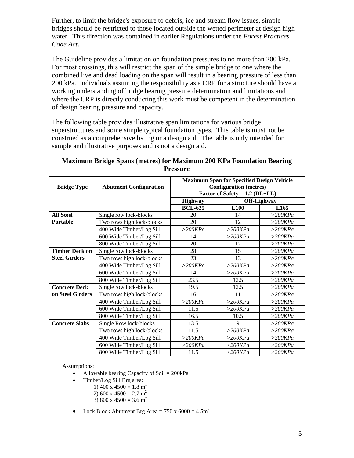Further, to limit the bridge's exposure to debris, ice and stream flow issues, simple bridges should be restricted to those located outside the wetted perimeter at design high water. This direction was contained in earlier Regulations under the *Forest Practices Code Act*.

The Guideline provides a limitation on foundation pressures to no more than 200 kPa. For most crossings, this will restrict the span of the simple bridge to one where the combined live and dead loading on the span will result in a bearing pressure of less than 200 kPa. Individuals assuming the responsibility as a CRP for a structure should have a working understanding of bridge bearing pressure determination and limitations and where the CRP is directly conducting this work must be competent in the determination of design bearing pressure and capacity.

The following table provides illustrative span limitations for various bridge superstructures and some simple typical foundation types. This table is must not be construed as a comprehensive listing or a design aid. The table is only intended for sample and illustrative purposes and is not a design aid.

| <b>Bridge Type</b>    | <b>Abutment Configuration</b> | <b>Maximum Span for Specified Design Vehicle</b><br><b>Configuration</b> (metres)<br>Factor of Safety = $1.2$ (DL+LL) |            |                  |
|-----------------------|-------------------------------|-----------------------------------------------------------------------------------------------------------------------|------------|------------------|
|                       |                               | <b>Highway</b>                                                                                                        |            | Off-Highway      |
|                       |                               | <b>BCL-625</b>                                                                                                        | L100       | L <sub>165</sub> |
| <b>All Steel</b>      | Single row lock-blocks        | 20                                                                                                                    | 14         | $>$ 200KPa       |
| Portable              | Two rows high lock-blocks     | 20                                                                                                                    | 12         | $>$ 200KPa       |
|                       | 400 Wide Timber/Log Sill      | $>$ 200KPa                                                                                                            | $>$ 200KPa | $>$ 200KPa       |
|                       | 600 Wide Timber/Log Sill      | 14                                                                                                                    | $>$ 200KPa | $>$ 200KPa       |
|                       | 800 Wide Timber/Log Sill      | 20                                                                                                                    | 12         | $>$ 200KPa       |
| <b>Timber Deck on</b> | Single row lock-blocks        | 28                                                                                                                    | 15         | $>$ 200KPa       |
| <b>Steel Girders</b>  | Two rows high lock-blocks     | 23                                                                                                                    | 13         | $>$ 200KPa       |
|                       | 400 Wide Timber/Log Sill      | $>$ 200KPa                                                                                                            | $>$ 200KPa | $>$ 200KPa       |
|                       | 600 Wide Timber/Log Sill      | 14                                                                                                                    | $>$ 200KPa | $>$ 200KPa       |
|                       | 800 Wide Timber/Log Sill      | 23.5                                                                                                                  | 12.5       | $>$ 200KPa       |
| <b>Concrete Deck</b>  | Single row lock-blocks        | 19.5                                                                                                                  | 12.5       | $>$ 200KPa       |
| on Steel Girders      | Two rows high lock-blocks     | 16                                                                                                                    | 11         | $>$ 200KPa       |
|                       | 400 Wide Timber/Log Sill      | $>$ 200KPa                                                                                                            | $>$ 200KPa | $>$ 200KPa       |
|                       | 600 Wide Timber/Log Sill      | 11.5                                                                                                                  | $>$ 200KPa | $>$ 200KPa       |
|                       | 800 Wide Timber/Log Sill      | 16.5                                                                                                                  | 10.5       | $>$ 200KPa       |
| <b>Concrete Slabs</b> | Single Row lock-blocks        | 13.5                                                                                                                  | 9          | $>$ 200KPa       |
|                       | Two rows high lock-blocks     | 11.5                                                                                                                  | $>$ 200KPa | $>$ 200KPa       |
|                       | 400 Wide Timber/Log Sill      | $>$ 200KPa                                                                                                            | $>$ 200KPa | $>$ 200KPa       |
|                       | 600 Wide Timber/Log Sill      | $>$ 200KPa                                                                                                            | $>$ 200KPa | $>$ 200KPa       |
|                       | 800 Wide Timber/Log Sill      | 11.5                                                                                                                  | $>$ 200KPa | $>$ 200KPa       |

## **Maximum Bridge Spans (metres) for Maximum 200 KPa Foundation Bearing Pressure**

Assumptions:

- Allowable bearing Capacity of Soil  $= 200kPa$
- Timber/Log Sill Brg area:
	- 1) 400 x 4500 = 1.8 m<sup>2</sup>
	- 2) 600 x 4500 = 2.7 m<sup>2</sup>
	- 3) 800 x 4500 = 3.6 m<sup>2</sup>
- Lock Block Abutment Brg Area =  $750 \times 6000 = 4.5 \text{m}^2$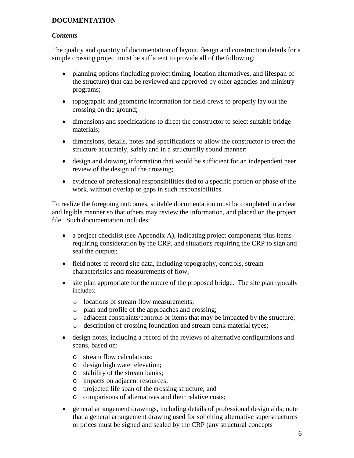#### **DOCUMENTATION**

#### *Contents*

The quality and quantity of documentation of layout, design and construction details for a simple crossing project must be sufficient to provide all of the following:

- planning options (including project timing, location alternatives, and lifespan of the structure) that can be reviewed and approved by other agencies and ministry programs;
- topographic and geometric information for field crews to properly lay out the crossing on the ground;
- dimensions and specifications to direct the constructor to select suitable bridge materials;
- dimensions, details, notes and specifications to allow the constructor to erect the structure accurately, safely and in a structurally sound manner;
- design and drawing information that would be sufficient for an independent peer review of the design of the crossing;
- evidence of professional responsibilities tied to a specific portion or phase of the work, without overlap or gaps in such responsibilities.

To realize the foregoing outcomes, suitable documentation must be completed in a clear and legible manner so that others may review the information, and placed on the project file. Such documentation includes:

- a project checklist (see Appendix A), indicating project components plus items requiring consideration by the CRP, and situations requiring the CRP to sign and seal the outputs;
- field notes to record site data, including topography, controls, stream characteristics and measurements of flow,
- site plan appropriate for the nature of the proposed bridge. The site plan typically includes:
	- ο locations of stream flow measurements;
	- ο plan and profile of the approaches and crossing;
	- ο adjacent constraints/controls or items that may be impacted by the structure;
	- ο description of crossing foundation and stream bank material types;
- design notes, including a record of the reviews of alternative configurations and spans, based on:
	- o stream flow calculations;
	- o design high water elevation;
	- o stability of the stream banks;
	- o impacts on adjacent resources;
	- o projected life span of the crossing structure; and
	- o comparisons of alternatives and their relative costs;
- general arrangement drawings, including details of professional design aids; note that a general arrangement drawing used for soliciting alternative superstructures or prices must be signed and sealed by the CRP (any structural concepts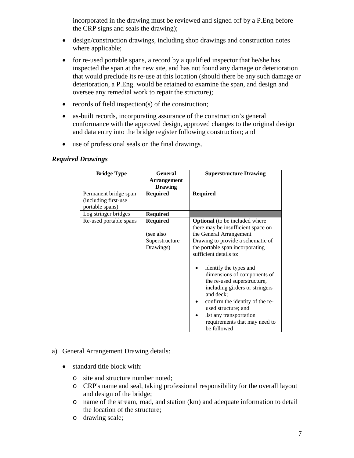incorporated in the drawing must be reviewed and signed off by a P.Eng before the CRP signs and seals the drawing);

- design/construction drawings, including shop drawings and construction notes where applicable;
- for re-used portable spans, a record by a qualified inspector that he/she has inspected the span at the new site, and has not found any damage or deterioration that would preclude its re-use at this location (should there be any such damage or deterioration, a P.Eng. would be retained to examine the span, and design and oversee any remedial work to repair the structure);
- records of field inspection(s) of the construction;
- as-built records, incorporating assurance of the construction's general conformance with the approved design, approved changes to the original design and data entry into the bridge register following construction; and
- use of professional seals on the final drawings.

#### *Required Drawings*

| <b>Bridge Type</b>                                               | <b>General</b>                                              | <b>Superstructure Drawing</b>                                                                                                                                                                                                                                                                                                                                                                                                                                                        |
|------------------------------------------------------------------|-------------------------------------------------------------|--------------------------------------------------------------------------------------------------------------------------------------------------------------------------------------------------------------------------------------------------------------------------------------------------------------------------------------------------------------------------------------------------------------------------------------------------------------------------------------|
|                                                                  | Arrangement<br><b>Drawing</b>                               |                                                                                                                                                                                                                                                                                                                                                                                                                                                                                      |
| Permanent bridge span<br>(including first-use<br>portable spans) | <b>Required</b>                                             | <b>Required</b>                                                                                                                                                                                                                                                                                                                                                                                                                                                                      |
| Log stringer bridges                                             | <b>Required</b>                                             |                                                                                                                                                                                                                                                                                                                                                                                                                                                                                      |
| Re-used portable spans                                           | <b>Required</b><br>(see also<br>Superstructure<br>Drawings) | <b>Optional</b> (to be included where<br>there may be insufficient space on<br>the General Arrangement<br>Drawing to provide a schematic of<br>the portable span incorporating<br>sufficient details to:<br>identify the types and<br>dimensions of components of<br>the re-used superstructure,<br>including girders or stringers<br>and deck;<br>confirm the identity of the re-<br>used structure; and<br>list any transportation<br>requirements that may need to<br>be followed |

#### a) General Arrangement Drawing details:

- standard title block with:
	- o site and structure number noted;
	- o CRP's name and seal, taking professional responsibility for the overall layout and design of the bridge;
	- o name of the stream, road, and station (km) and adequate information to detail the location of the structure;
	- o drawing scale;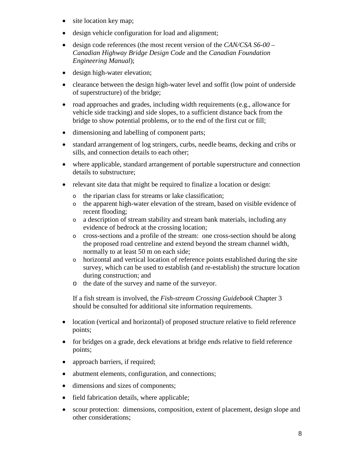- site location key map;
- design vehicle configuration for load and alignment;
- design code references (the most recent version of the *[CAN/CSA S6-00 –](http://www.csagroup.org/news/newsletters/perspectives/default.asp?articleID=5257&searchType=allWords&searchWordList=CAN%2FCSA+S6&language=English) [Canadian Highway Bridge Design Code](http://www.csagroup.org/news/newsletters/perspectives/default.asp?articleID=5257&searchType=allWords&searchWordList=CAN%2FCSA+S6&language=English)* and the *[Canadian Foundation](http://www.library.for.gov.bc.ca/ipac20/ipac.jsp?session=1142YS772470N.89342&menu=search&aspect=basic_search&npp=10&ipp=20&profile=mof&ri=1&source=142.36.141.139%40%21forest&index=.GW&term=Canadian+Foundation+Engineering+Manual&x=8&y=12&aspect=basic_search) [Engineering Manual](http://www.library.for.gov.bc.ca/ipac20/ipac.jsp?session=1142YS772470N.89342&menu=search&aspect=basic_search&npp=10&ipp=20&profile=mof&ri=1&source=142.36.141.139%40%21forest&index=.GW&term=Canadian+Foundation+Engineering+Manual&x=8&y=12&aspect=basic_search)*);
- design high-water elevation;
- clearance between the design high-water level and soffit (low point of underside of superstructure) of the bridge;
- road approaches and grades, including width requirements (e.g., allowance for vehicle side tracking) and side slopes, to a sufficient distance back from the bridge to show potential problems, or to the end of the first cut or fill;
- dimensioning and labelling of component parts;
- standard arrangement of log stringers, curbs, needle beams, decking and cribs or sills, and connection details to each other;
- where applicable, standard arrangement of portable superstructure and connection details to substructure;
- relevant site data that might be required to finalize a location or design:
	- o the riparian class for streams or lake classification;
	- o the apparent high-water elevation of the stream, based on visible evidence of recent flooding;
	- o a description of stream stability and stream bank materials, including any evidence of bedrock at the crossing location;
	- o cross-sections and a profile of the stream: one cross-section should be along the proposed road centreline and extend beyond the stream channel width, normally to at least 50 m on each side;
	- o horizontal and vertical location of reference points established during the site survey, which can be used to establish (and re-establish) the structure location during construction; and
	- o the date of the survey and name of the surveyor.

If a fish stream is involved, the *Fish-stream Crossing Guidebook* Chapter 3 should be consulted for additional site information requirements.

- location (vertical and horizontal) of proposed structure relative to field reference points;
- for bridges on a grade, deck elevations at bridge ends relative to field reference points;
- approach barriers, if required;
- abutment elements, configuration, and connections;
- dimensions and sizes of components;
- field fabrication details, where applicable;
- scour protection: dimensions, composition, extent of placement, design slope and other considerations;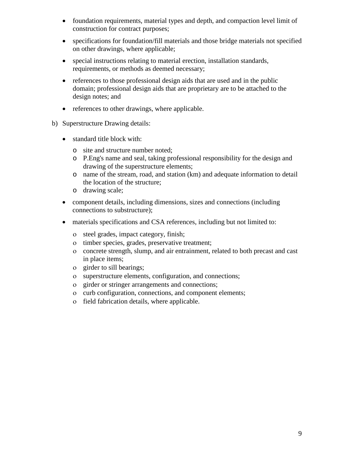- foundation requirements, material types and depth, and compaction level limit of construction for contract purposes;
- specifications for foundation/fill materials and those bridge materials not specified on other drawings, where applicable;
- special instructions relating to material erection, installation standards, requirements, or methods as deemed necessary;
- references to those professional design aids that are used and in the public domain; professional design aids that are proprietary are to be attached to the design notes; and
- references to other drawings, where applicable.
- b) Superstructure Drawing details:
	- standard title block with:
		- o site and structure number noted;
		- o P.Eng's name and seal, taking professional responsibility for the design and drawing of the superstructure elements;
		- o name of the stream, road, and station (km) and adequate information to detail the location of the structure;
		- o drawing scale;
	- component details, including dimensions, sizes and connections (including connections to substructure);
	- materials specifications and CSA references, including but not limited to:
		- ο steel grades, impact category, finish;
		- ο timber species, grades, preservative treatment;
		- ο concrete strength, slump, and air entrainment, related to both precast and cast in place items;
		- ο girder to sill bearings;
		- ο superstructure elements, configuration, and connections;
		- ο girder or stringer arrangements and connections;
		- ο curb configuration, connections, and component elements;
		- ο field fabrication details, where applicable.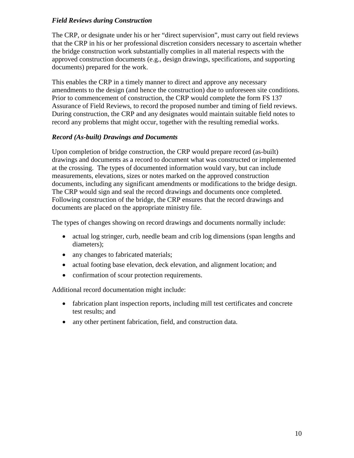#### *Field Reviews during Construction*

The CRP, or designate under his or her "direct supervision", must carry out field reviews that the CRP in his or her professional discretion considers necessary to ascertain whether the bridge construction work substantially complies in all material respects with the approved construction documents (e.g., design drawings, specifications, and supporting documents) prepared for the work.

This enables the CRP in a timely manner to direct and approve any necessary amendments to the design (and hence the construction) due to unforeseen site conditions. Prior to commencement of construction, the CRP would complete the form FS 137 Assurance of Field Reviews, to record the proposed number and timing of field reviews. During construction, the CRP and any designates would maintain suitable field notes to record any problems that might occur, together with the resulting remedial works.

#### *Record (As-built) Drawings and Documents*

Upon completion of bridge construction, the CRP would prepare record (as-built) drawings and documents as a record to document what was constructed or implemented at the crossing. The types of documented information would vary, but can include measurements, elevations, sizes or notes marked on the approved construction documents, including any significant amendments or modifications to the bridge design. The CRP would sign and seal the record drawings and documents once completed. Following construction of the bridge, the CRP ensures that the record drawings and documents are placed on the appropriate ministry file.

The types of changes showing on record drawings and documents normally include:

- actual log stringer, curb, needle beam and crib log dimensions (span lengths and diameters);
- any changes to fabricated materials;
- actual footing base elevation, deck elevation, and alignment location; and
- confirmation of scour protection requirements.

Additional record documentation might include:

- fabrication plant inspection reports, including mill test certificates and concrete test results; and
- any other pertinent fabrication, field, and construction data.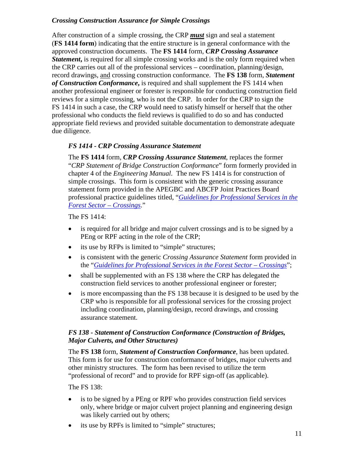#### *Crossing Construction Assurance for Simple Crossings*

After construction of a simple crossing, the CRP *must* sign and seal a statement (**FS 1414 form**) indicating that the entire structure is in general conformance with the approved construction documents. The **FS 1414** form, *CRP Crossing Assurance Statement***,** is required for all simple crossing works and is the only form required when the CRP carries out all of the professional services – coordination, planning/design, record drawings, and crossing construction conformance. The **FS 138** form, *Statement of Construction Conformance***,** is required and shall supplement the FS 1414 when another professional engineer or forester is responsible for conducting construction field reviews for a simple crossing, who is not the CRP. In order for the CRP to sign the FS 1414 in such a case, the CRP would need to satisfy himself or herself that the other professional who conducts the field reviews is qualified to do so and has conducted appropriate field reviews and provided suitable documentation to demonstrate adequate due diligence.

#### *FS 1414 - CRP Crossing Assurance Statement*

The **FS 1414** form, *CRP Crossing Assurance Statement*, replaces the former "*CRP Statement of Bridge Construction Conformance*" form formerly provided in chapter 4 of the *Engineering Manual*. The new FS 1414 is for construction of simple crossings. This form is consistent with the generic crossing assurance statement form provided in the APEGBC and ABCFP Joint Practices Board professional practice guidelines titled, "*[Guidelines for Professional Services in the](https://www.apeg.bc.ca/Resources/Professional-Practice/Professional-Practice-Guidelines)  [Forest Sector –](https://www.apeg.bc.ca/Resources/Professional-Practice/Professional-Practice-Guidelines) Crossings*."

The FS 1414:

- is required for all bridge and major culvert crossings and is to be signed by a PEng or RPF acting in the role of the CRP;
- its use by RFPs is limited to "simple" structures;
- is consistent with the generic *Crossing Assurance Statement* form provided in the "*[Guidelines for Professional Services in the Forest Sector –](https://www.apeg.bc.ca/Resources/Professional-Practice/Professional-Practice-Guidelines) Crossings*";
- shall be supplemented with an FS 138 where the CRP has delegated the construction field services to another professional engineer or forester;
- is more encompassing than the FS 138 because it is designed to be used by the CRP who is responsible for all professional services for the crossing project including coordination, planning/design, record drawings, and crossing assurance statement.

#### *FS 138 - Statement of Construction Conformance (Construction of Bridges, Major Culverts, and Other Structures)*

The **FS 138** form, *Statement of Construction Conformance*, has been updated. This form is for use for construction conformance of bridges, major culverts and other ministry structures. The form has been revised to utilize the term "professional of record" and to provide for RPF sign-off (as applicable).

The FS 138:

- is to be signed by a PEng or RPF who provides construction field services only, where bridge or major culvert project planning and engineering design was likely carried out by others;
- its use by RPFs is limited to "simple" structures;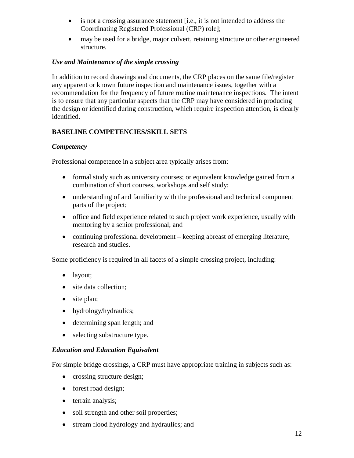- is not a crossing assurance statement [i.e., it is not intended to address the Coordinating Registered Professional (CRP) role];
- may be used for a bridge, major culvert, retaining structure or other engineered structure.

#### *Use and Maintenance of the simple crossing*

In addition to record drawings and documents, the CRP places on the same file/register any apparent or known future inspection and maintenance issues, together with a recommendation for the frequency of future routine maintenance inspections. The intent is to ensure that any particular aspects that the CRP may have considered in producing the design or identified during construction, which require inspection attention, is clearly identified.

#### **BASELINE COMPETENCIES/SKILL SETS**

#### *Competency*

Professional competence in a subject area typically arises from:

- formal study such as university courses; or equivalent knowledge gained from a combination of short courses, workshops and self study;
- understanding of and familiarity with the professional and technical component parts of the project;
- office and field experience related to such project work experience, usually with mentoring by a senior professional; and
- continuing professional development keeping abreast of emerging literature, research and studies.

Some proficiency is required in all facets of a simple crossing project, including:

- layout;
- site data collection;
- site plan;
- hydrology/hydraulics;
- determining span length; and
- selecting substructure type.

#### *Education and Education Equivalent*

For simple bridge crossings, a CRP must have appropriate training in subjects such as:

- crossing structure design;
- forest road design;
- terrain analysis;
- soil strength and other soil properties;
- stream flood hydrology and hydraulics; and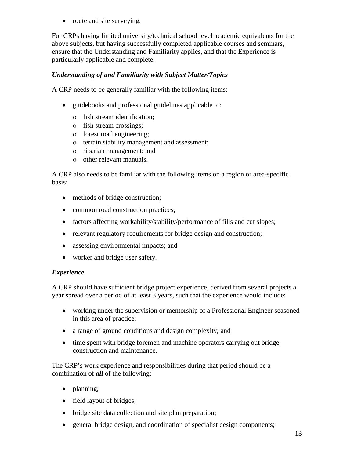• route and site surveying.

For CRPs having limited university/technical school level academic equivalents for the above subjects, but having successfully completed applicable courses and seminars, ensure that the Understanding and Familiarity applies, and that the Experience is particularly applicable and complete.

#### *Understanding of and Familiarity with Subject Matter/Topics*

A CRP needs to be generally familiar with the following items:

- guidebooks and professional guidelines applicable to:
	- ο fish stream identification;
	- ο fish stream crossings;
	- ο forest road engineering;
	- ο terrain stability management and assessment;
	- ο riparian management; and
	- ο other relevant manuals.

A CRP also needs to be familiar with the following items on a region or area-specific basis:

- methods of bridge construction;
- common road construction practices;
- factors affecting workability/stability/performance of fills and cut slopes;
- relevant regulatory requirements for bridge design and construction;
- assessing environmental impacts; and
- worker and bridge user safety.

#### *Experience*

A CRP should have sufficient bridge project experience, derived from several projects a year spread over a period of at least 3 years, such that the experience would include:

- working under the supervision or mentorship of a Professional Engineer seasoned in this area of practice;
- a range of ground conditions and design complexity; and
- time spent with bridge foremen and machine operators carrying out bridge construction and maintenance.

The CRP's work experience and responsibilities during that period should be a combination of *all* of the following:

- planning;
- field layout of bridges;
- bridge site data collection and site plan preparation;
- general bridge design, and coordination of specialist design components;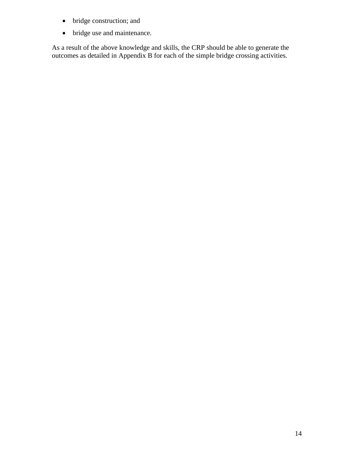- bridge construction; and
- bridge use and maintenance.

As a result of the above knowledge and skills, the CRP should be able to generate the outcomes as detailed in Appendix B for each of the simple bridge crossing activities.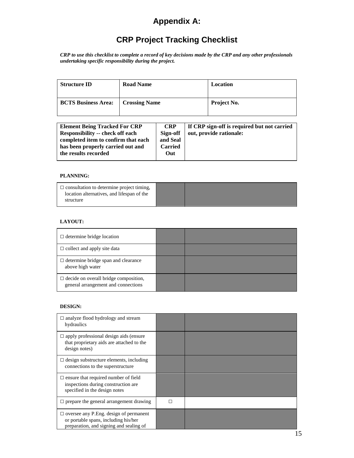## **Appendix A:**

# **CRP Project Tracking Checklist**

*CRP to use this checklist to complete a record of key decisions made by the CRP and any other professionals undertaking specific responsibility during the project.*

| <b>Structure ID</b>        | <b>Road Name</b>     | Location           |
|----------------------------|----------------------|--------------------|
| <b>BCTS Business Area:</b> | <b>Crossing Name</b> | <b>Project No.</b> |

#### **PLANNING:**

| $\Box$ consultation to determine project timing,<br>location alternatives, and lifespan of the<br>structure |  |  |
|-------------------------------------------------------------------------------------------------------------|--|--|
|-------------------------------------------------------------------------------------------------------------|--|--|

#### **LAYOUT:**

| $\Box$ determine bridge location                                                    |  |
|-------------------------------------------------------------------------------------|--|
| $\Box$ collect and apply site data                                                  |  |
| $\Box$ determine bridge span and clearance<br>above high water                      |  |
| $\Box$ decide on overall bridge composition,<br>general arrangement and connections |  |

#### **DESIGN:**

| $\Box$ analyze flood hydrology and stream<br>hydraulics                                                                           |   |  |
|-----------------------------------------------------------------------------------------------------------------------------------|---|--|
| $\Box$ apply professional design aids (ensure<br>that proprietary aids are attached to the<br>design notes)                       |   |  |
| $\Box$ design substructure elements, including<br>connections to the superstructure                                               |   |  |
| $\Box$ ensure that required number of field<br>inspections during construction are.<br>specified in the design notes              |   |  |
| $\Box$ prepare the general arrangement drawing                                                                                    | п |  |
| $\Box$ oversee any P. Eng. design of permanent<br>or portable spans, including his/her<br>preparation, and signing and sealing of |   |  |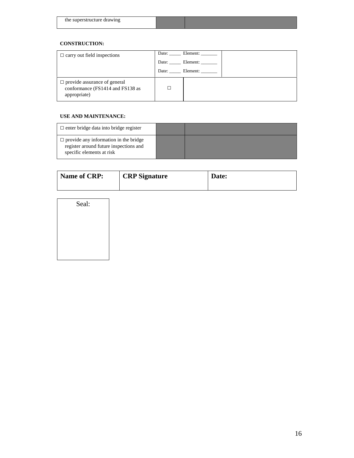| superstructure drawing<br>the |  |
|-------------------------------|--|
|                               |  |

#### **CONSTRUCTION:**

| $\Box$ carry out field inspections                                                      | Date: Element: |
|-----------------------------------------------------------------------------------------|----------------|
|                                                                                         | Date: Element: |
|                                                                                         | Date: Element: |
| $\Box$ provide assurance of general<br>conformance (FS1414 and FS138 as<br>appropriate) |                |

#### **USE AND MAINTENANCE:**

| $\Box$ enter bridge data into bridge register                                                                       |  |
|---------------------------------------------------------------------------------------------------------------------|--|
| $\Box$ provide any information in the bridge<br>register around future inspections and<br>specific elements at risk |  |

| Name of CRP: | <b>CRP</b> Signature | Date: |
|--------------|----------------------|-------|
|              |                      |       |

Seal: